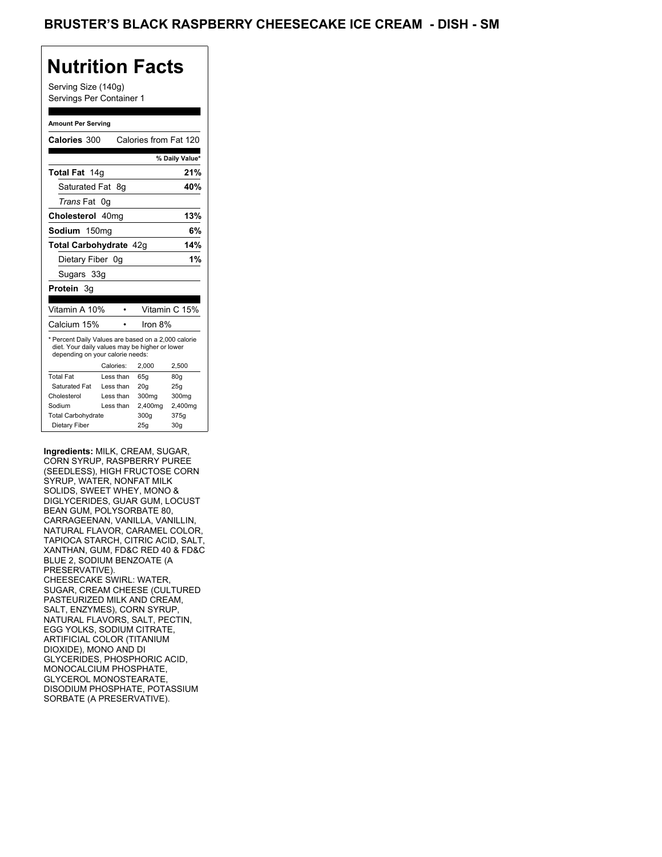Serving Size (140g) Servings Per Container 1

#### **Amount Per Serving**

| Calories 300                                                                                                                              |    |           | Calories from Fat 120 |                 |
|-------------------------------------------------------------------------------------------------------------------------------------------|----|-----------|-----------------------|-----------------|
|                                                                                                                                           |    |           |                       |                 |
|                                                                                                                                           |    |           |                       | % Daily Value*  |
| <b>Total Fat</b> 14g                                                                                                                      |    |           |                       | 21%             |
| Saturated Fat 8q                                                                                                                          |    |           |                       | 40%             |
| <i>Trans</i> Fat                                                                                                                          | 0g |           |                       |                 |
| Cholesterol 40mg                                                                                                                          |    |           |                       | 13%             |
| Sodium 150mg                                                                                                                              |    |           |                       | 6%              |
| Total Carbohydrate 42g                                                                                                                    |    |           |                       | 14%             |
| Dietary Fiber 0g                                                                                                                          |    |           |                       | 1%              |
| Sugars 33g                                                                                                                                |    |           |                       |                 |
| Protein 3g                                                                                                                                |    |           |                       |                 |
|                                                                                                                                           |    |           |                       |                 |
| Vitamin A 10%                                                                                                                             |    |           |                       | Vitamin C 15%   |
| Calcium 15%                                                                                                                               |    |           | Iron 8%               |                 |
| * Percent Daily Values are based on a 2,000 calorie<br>diet. Your daily values may be higher or lower<br>depending on your calorie needs: |    |           |                       |                 |
|                                                                                                                                           |    | Calories: | 2.000                 | 2.500           |
| <b>Total Fat</b>                                                                                                                          |    | Less than | 65q                   | 80q             |
| Saturated Fat                                                                                                                             |    | Less than | 20q                   | 25q             |
| Cholesterol                                                                                                                               |    | Less than | 300mg                 | 300mg           |
| Sodium                                                                                                                                    |    | Less than | 2,400mg               | 2,400mg         |
| <b>Total Carbohydrate</b>                                                                                                                 |    |           | 300q                  | 375g            |
| Dietary Fiber                                                                                                                             |    |           | 25g                   | 30 <sub>g</sub> |

**Ingredients:** MILK, CREAM, SUGAR, CORN SYRUP, RASPBERRY PUREE (SEEDLESS), HIGH FRUCTOSE CORN SYRUP, WATER, NONFAT MILK SOLIDS, SWEET WHEY, MONO & DIGLYCERIDES, GUAR GUM, LOCUST BEAN GUM, POLYSORBATE 80, CARRAGEENAN, VANILLA, VANILLIN, NATURAL FLAVOR, CARAMEL COLOR, TAPIOCA STARCH, CITRIC ACID, SALT, XANTHAN, GUM, FD&C RED 40 & FD&C BLUE 2, SODIUM BENZOATE (A PRESERVATIVE). CHEESECAKE SWIRL: WATER, SUGAR, CREAM CHEESE (CULTURED PASTEURIZED MILK AND CREAM, SALT, ENZYMES), CORN SYRUP, NATURAL FLAVORS, SALT, PECTIN, EGG YOLKS, SODIUM CITRATE, ARTIFICIAL COLOR (TITANIUM DIOXIDE), MONO AND DI GLYCERIDES, PHOSPHORIC ACID, MONOCALCIUM PHOSPHATE, GLYCEROL MONOSTEARATE, DISODIUM PHOSPHATE, POTASSIUM SORBATE (A PRESERVATIVE).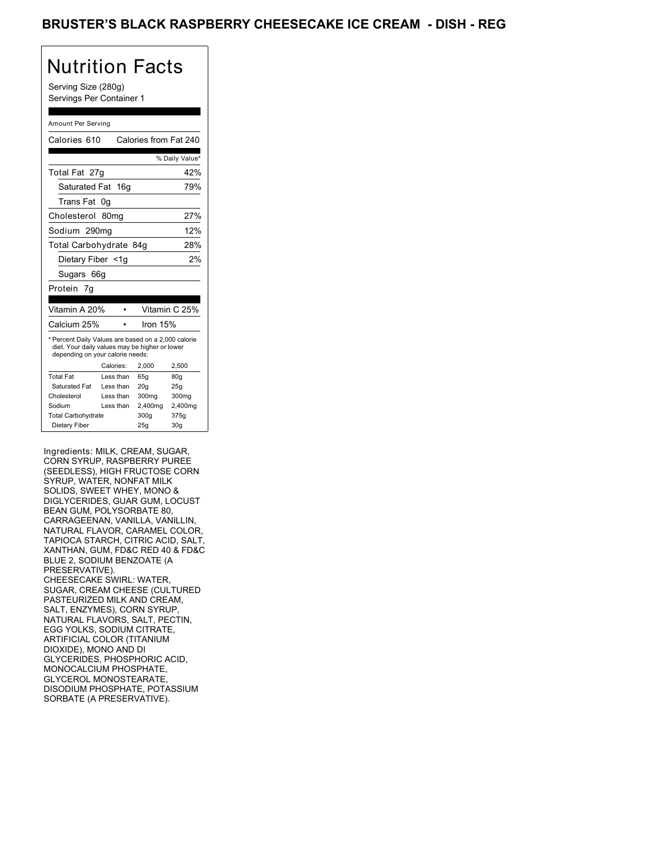Serving Size (280g) Servings Per Container 1

#### Amount Per Serving

| Calories 610                                                                                                                              |                  | Calories from Fat 240 |                |
|-------------------------------------------------------------------------------------------------------------------------------------------|------------------|-----------------------|----------------|
|                                                                                                                                           |                  |                       | % Daily Value* |
| Total Fat 27g                                                                                                                             |                  |                       | 42%            |
| Saturated Fat                                                                                                                             | 16q              |                       | 79%            |
| Trans Fat                                                                                                                                 | 0g               |                       |                |
| Cholesterol                                                                                                                               | 80 <sub>mq</sub> |                       | 27%            |
| Sodium 290mg                                                                                                                              |                  |                       | 12%            |
| Total Carbohydrate 84g                                                                                                                    |                  |                       | 28%            |
| Dietary Fiber <1q                                                                                                                         |                  |                       | 2%             |
| Sugars 66g                                                                                                                                |                  |                       |                |
| Protein 7q                                                                                                                                |                  |                       |                |
|                                                                                                                                           |                  |                       |                |
| Vitamin A 20%                                                                                                                             |                  |                       | Vitamin C 25%  |
| Calcium 25%                                                                                                                               |                  | lron 15%              |                |
| * Percent Daily Values are based on a 2,000 calorie<br>diet. Your daily values may be higher or lower<br>depending on your calorie needs: |                  |                       |                |
|                                                                                                                                           | Calories:        | 2.000                 | 2,500          |
| <b>Total Fat</b>                                                                                                                          | Less than        | 65q                   | 80q            |
| Saturated Fat                                                                                                                             | Less than        | 20q                   | 25q            |
| Cholesterol                                                                                                                               | Less than        | 300mg                 | 300mg          |
| Sodium                                                                                                                                    | Less than        | 2,400mg               | 2,400mg        |
| <b>Total Carbohydrate</b>                                                                                                                 |                  | 300g                  | 375g           |
| Dietary Fiber                                                                                                                             |                  | 25q                   | 30q            |

Ingredients: MILK, CREAM, SUGAR, CORN SYRUP, RASPBERRY PUREE (SEEDLESS), HIGH FRUCTOSE CORN SYRUP, WATER, NONFAT MILK SOLIDS, SWEET WHEY, MONO & DIGLYCERIDES, GUAR GUM, LOCUST BEAN GUM, POLYSORBATE 80, CARRAGEENAN, VANILLA, VANILLIN, NATURAL FLAVOR, CARAMEL COLOR, TAPIOCA STARCH, CITRIC ACID, SALT, XANTHAN, GUM, FD&C RED 40 & FD&C BLUE 2, SODIUM BENZOATE (A PRESERVATIVE). CHEESECAKE SWIRL: WATER, SUGAR, CREAM CHEESE (CULTURED PASTEURIZED MILK AND CREAM, SALT, ENZYMES), CORN SYRUP, NATURAL FLAVORS, SALT, PECTIN, EGG YOLKS, SODIUM CITRATE, ARTIFICIAL COLOR (TITANIUM DIOXIDE), MONO AND DI GLYCERIDES, PHOSPHORIC ACID, MONOCALCIUM PHOSPHATE, GLYCEROL MONOSTEARATE, DISODIUM PHOSPHATE, POTASSIUM SORBATE (A PRESERVATIVE).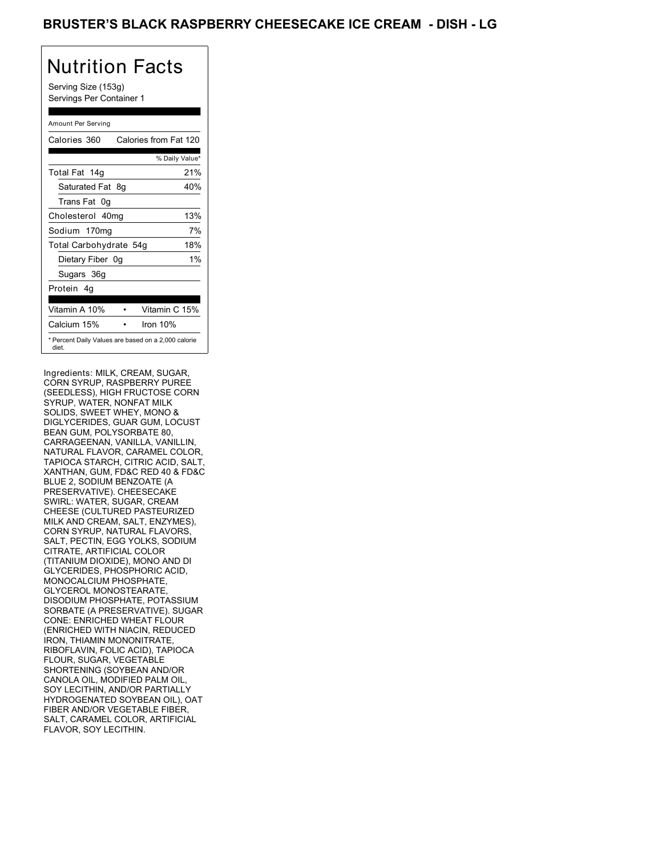Serving Size (153g) Servings Per Container 1

#### Amount Per Serving

| Calories 360                                                 |    | Calories from Fat 120 |                |       |
|--------------------------------------------------------------|----|-----------------------|----------------|-------|
|                                                              |    |                       | % Daily Value* |       |
| Total Fat 14g                                                |    |                       |                | 21%   |
| Saturated Fat 8g                                             |    |                       |                | 40%   |
| Trans Fat 0g                                                 |    |                       |                |       |
| Cholesterol 40mg                                             |    |                       |                | 13%   |
| Sodium 170mg                                                 |    |                       |                | 7%    |
| Total Carbohydrate 54g                                       |    |                       |                | 18%   |
| Dietary Fiber                                                | 0a |                       |                | $1\%$ |
| Sugars 36g                                                   |    |                       |                |       |
| Protein 4q                                                   |    |                       |                |       |
| Vitamin A 10%                                                |    |                       | Vitamin C 15%  |       |
| Calcium 15%                                                  |    |                       | Iron $10%$     |       |
| * Percent Daily Values are based on a 2,000 calorie<br>diet. |    |                       |                |       |

Ingredients: MILK, CREAM, SUGAR, CORN SYRUP, RASPBERRY PUREE (SEEDLESS), HIGH FRUCTOSE CORN SYRUP, WATER, NONFAT MILK SOLIDS, SWEET WHEY, MONO & DIGLYCERIDES, GUAR GUM, LOCUST BEAN GUM, POLYSORBATE 80, CARRAGEENAN, VANILLA, VANILLIN, NATURAL FLAVOR, CARAMEL COLOR, TAPIOCA STARCH, CITRIC ACID, SALT, XANTHAN, GUM, FD&C RED 40 & FD&C BLUE 2, SODIUM BENZOATE (A PRESERVATIVE). CHEESECAKE SWIRL: WATER, SUGAR, CREAM CHEESE (CULTURED PASTEURIZED MILK AND CREAM, SALT, ENZYMES), CORN SYRUP, NATURAL FLAVORS, SALT, PECTIN, EGG YOLKS, SODIUM CITRATE, ARTIFICIAL COLOR (TITANIUM DIOXIDE), MONO AND DI GLYCERIDES, PHOSPHORIC ACID, MONOCALCIUM PHOSPHATE, GLYCEROL MONOSTEARATE, DISODIUM PHOSPHATE, POTASSIUM SORBATE (A PRESERVATIVE). SUGAR CONE: ENRICHED WHEAT FLOUR (ENRICHED WITH NIACIN, REDUCED IRON, THIAMIN MONONITRATE, RIBOFLAVIN, FOLIC ACID), TAPIOCA FLOUR, SUGAR, VEGETABLE SHORTENING (SOYBEAN AND/OR CANOLA OIL, MODIFIED PALM OIL, SOY LECITHIN, AND/OR PARTIALLY HYDROGENATED SOYBEAN OIL), OAT FIBER AND/OR VEGETABLE FIBER, SALT, CARAMEL COLOR, ARTIFICIAL FLAVOR, SOY LECITHIN.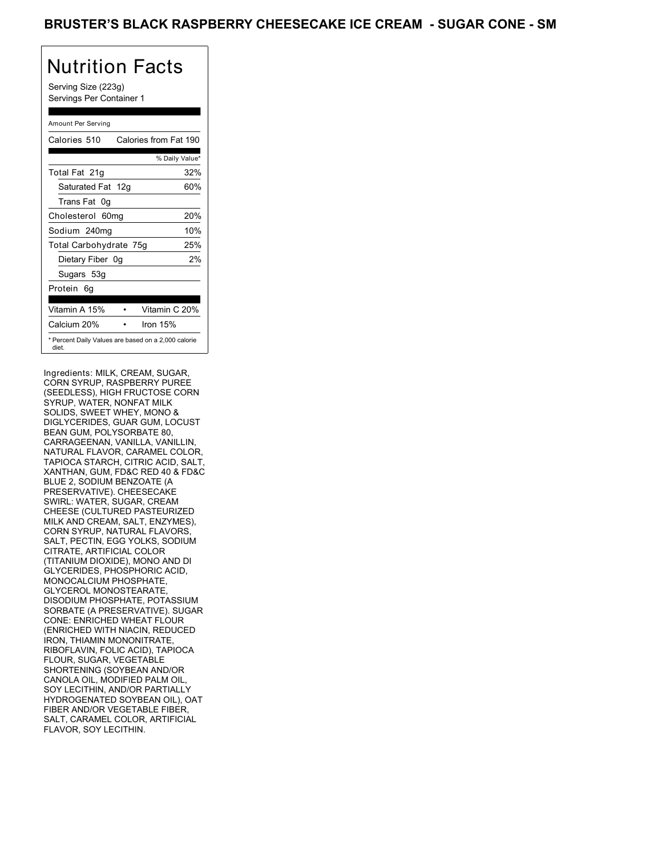Serving Size (223g) Servings Per Container 1

#### Amount Per Serving

| Calories 510           | Calories from Fat 190                               |
|------------------------|-----------------------------------------------------|
|                        | % Daily Value*                                      |
| Total Fat 21g          | 32%                                                 |
| Saturated Fat 12g      | 60%                                                 |
| Trans Fat 0q           |                                                     |
| Cholesterol 60mg       | 20%                                                 |
| Sodium 240mg           | 10%                                                 |
| Total Carbohydrate 75g | 25%                                                 |
| Dietary Fiber 0g       | 2%                                                  |
| Sugars 53g             |                                                     |
| Protein 6q             |                                                     |
| Vitamin A 15%          | Vitamin C 20%                                       |
| Calcium 20%            | Iron $15%$                                          |
| diet.                  | * Percent Daily Values are based on a 2,000 calorie |

Ingredients: MILK, CREAM, SUGAR, CORN SYRUP, RASPBERRY PUREE (SEEDLESS), HIGH FRUCTOSE CORN SYRUP, WATER, NONFAT MILK SOLIDS, SWEET WHEY, MONO & DIGLYCERIDES, GUAR GUM, LOCUST BEAN GUM, POLYSORBATE 80, CARRAGEENAN, VANILLA, VANILLIN, NATURAL FLAVOR, CARAMEL COLOR, TAPIOCA STARCH, CITRIC ACID, SALT, XANTHAN, GUM, FD&C RED 40 & FD&C BLUE 2, SODIUM BENZOATE (A PRESERVATIVE). CHEESECAKE SWIRL: WATER, SUGAR, CREAM CHEESE (CULTURED PASTEURIZED MILK AND CREAM, SALT, ENZYMES), CORN SYRUP, NATURAL FLAVORS, SALT, PECTIN, EGG YOLKS, SODIUM CITRATE, ARTIFICIAL COLOR (TITANIUM DIOXIDE), MONO AND DI GLYCERIDES, PHOSPHORIC ACID, MONOCALCIUM PHOSPHATE, GLYCEROL MONOSTEARATE, DISODIUM PHOSPHATE, POTASSIUM SORBATE (A PRESERVATIVE). SUGAR CONE: ENRICHED WHEAT FLOUR (ENRICHED WITH NIACIN, REDUCED IRON, THIAMIN MONONITRATE, RIBOFLAVIN, FOLIC ACID), TAPIOCA FLOUR, SUGAR, VEGETABLE SHORTENING (SOYBEAN AND/OR CANOLA OIL, MODIFIED PALM OIL, SOY LECITHIN, AND/OR PARTIALLY HYDROGENATED SOYBEAN OIL), OAT FIBER AND/OR VEGETABLE FIBER, SALT, CARAMEL COLOR, ARTIFICIAL FLAVOR, SOY LECITHIN.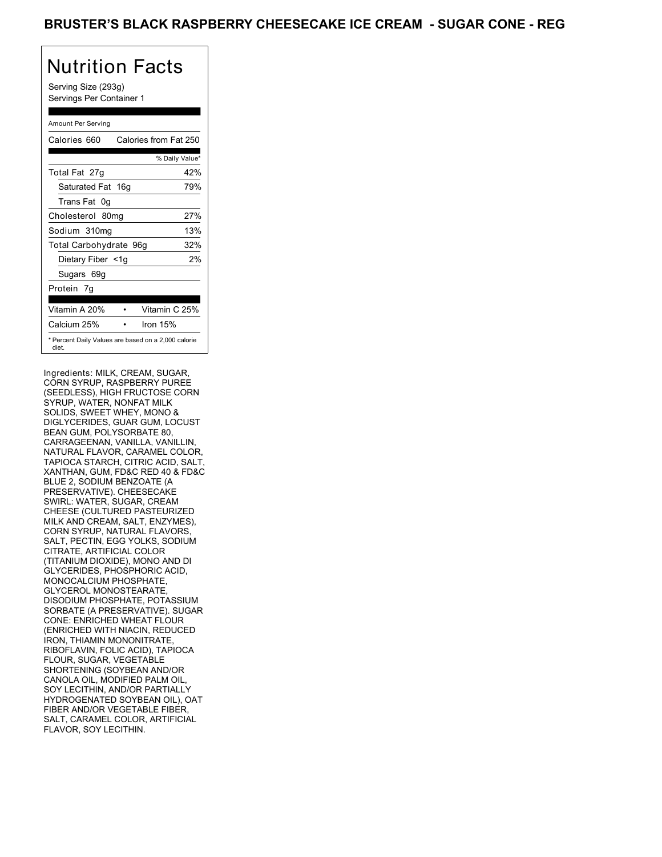Serving Size (293g) Servings Per Container 1

#### Amount Per Serving

| Calories 660                                                 | Calories from Fat 250 |                |
|--------------------------------------------------------------|-----------------------|----------------|
|                                                              |                       | % Daily Value* |
| Total Fat 27g                                                |                       | 42%            |
| Saturated Fat 16g                                            |                       | 79%            |
| Trans Fat 0q                                                 |                       |                |
| Cholesterol 80mg                                             |                       | 27%            |
| Sodium 310mg                                                 |                       | 13%            |
| Total Carbohydrate 96g                                       |                       | 32%            |
| Dietary Fiber <1g                                            |                       | 2%             |
| Sugars 69g                                                   |                       |                |
| Protein 7q                                                   |                       |                |
| Vitamin A 20%                                                | Vitamin C 25%         |                |
| Calcium 25%                                                  | Iron 15%              |                |
| * Percent Daily Values are based on a 2,000 calorie<br>diet. |                       |                |

Ingredients: MILK, CREAM, SUGAR, CORN SYRUP, RASPBERRY PUREE (SEEDLESS), HIGH FRUCTOSE CORN SYRUP, WATER, NONFAT MILK SOLIDS, SWEET WHEY, MONO & DIGLYCERIDES, GUAR GUM, LOCUST BEAN GUM, POLYSORBATE 80, CARRAGEENAN, VANILLA, VANILLIN, NATURAL FLAVOR, CARAMEL COLOR, TAPIOCA STARCH, CITRIC ACID, SALT, XANTHAN, GUM, FD&C RED 40 & FD&C BLUE 2, SODIUM BENZOATE (A PRESERVATIVE). CHEESECAKE SWIRL: WATER, SUGAR, CREAM CHEESE (CULTURED PASTEURIZED MILK AND CREAM, SALT, ENZYMES), CORN SYRUP, NATURAL FLAVORS, SALT, PECTIN, EGG YOLKS, SODIUM CITRATE, ARTIFICIAL COLOR (TITANIUM DIOXIDE), MONO AND DI GLYCERIDES, PHOSPHORIC ACID, MONOCALCIUM PHOSPHATE, GLYCEROL MONOSTEARATE, DISODIUM PHOSPHATE, POTASSIUM SORBATE (A PRESERVATIVE). SUGAR CONE: ENRICHED WHEAT FLOUR (ENRICHED WITH NIACIN, REDUCED IRON, THIAMIN MONONITRATE, RIBOFLAVIN, FOLIC ACID), TAPIOCA FLOUR, SUGAR, VEGETABLE SHORTENING (SOYBEAN AND/OR CANOLA OIL, MODIFIED PALM OIL, SOY LECITHIN, AND/OR PARTIALLY HYDROGENATED SOYBEAN OIL), OAT FIBER AND/OR VEGETABLE FIBER, SALT, CARAMEL COLOR, ARTIFICIAL FLAVOR, SOY LECITHIN.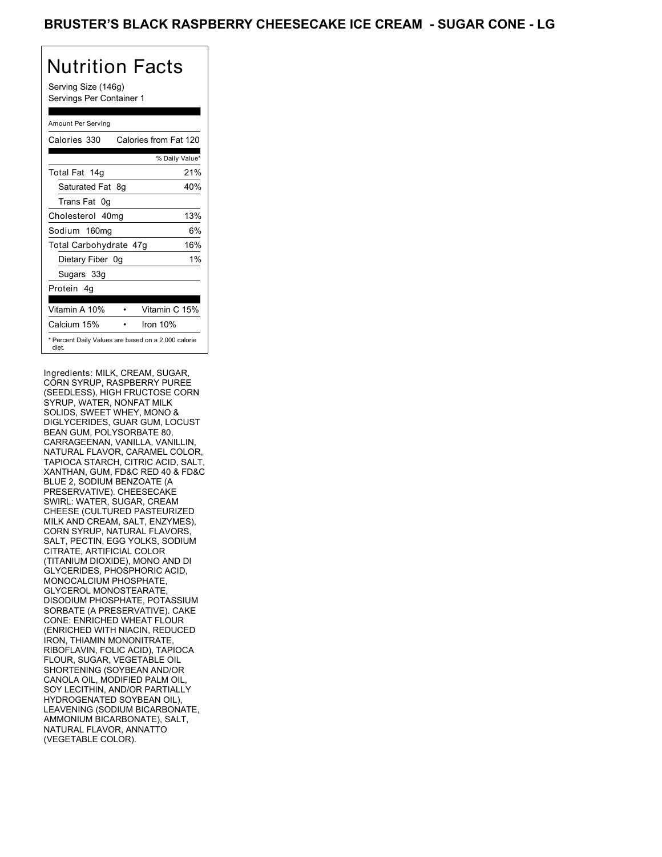Serving Size (146g) Servings Per Container 1

#### Amount Per Serving

| Calories 330                                                 |    | Calories from Fat 120 |                |       |
|--------------------------------------------------------------|----|-----------------------|----------------|-------|
|                                                              |    |                       | % Daily Value* |       |
| Total Fat 14g                                                |    |                       |                | 21%   |
| Saturated Fat 8g                                             |    |                       |                | 40%   |
| Trans Fat 0g                                                 |    |                       |                |       |
| Cholesterol 40mg                                             |    |                       |                | 13%   |
| Sodium 160mg                                                 |    |                       |                | 6%    |
| Total Carbohydrate 47g                                       |    |                       |                | 16%   |
| Dietary Fiber                                                | 0a |                       |                | $1\%$ |
| Sugars 33g                                                   |    |                       |                |       |
| Protein 4q                                                   |    |                       |                |       |
| Vitamin A 10%                                                |    |                       | Vitamin C 15%  |       |
| Calcium 15%                                                  |    |                       | Iron $10%$     |       |
| * Percent Daily Values are based on a 2,000 calorie<br>diet. |    |                       |                |       |

Ingredients: MILK, CREAM, SUGAR, CORN SYRUP, RASPBERRY PUREE (SEEDLESS), HIGH FRUCTOSE CORN SYRUP, WATER, NONFAT MILK SOLIDS, SWEET WHEY, MONO & DIGLYCERIDES, GUAR GUM, LOCUST BEAN GUM, POLYSORBATE 80, CARRAGEENAN, VANILLA, VANILLIN, NATURAL FLAVOR, CARAMEL COLOR, TAPIOCA STARCH, CITRIC ACID, SALT, XANTHAN, GUM, FD&C RED 40 & FD&C BLUE 2, SODIUM BENZOATE (A PRESERVATIVE). CHEESECAKE SWIRL: WATER, SUGAR, CREAM CHEESE (CULTURED PASTEURIZED MILK AND CREAM, SALT, ENZYMES), CORN SYRUP, NATURAL FLAVORS, SALT, PECTIN, EGG YOLKS, SODIUM CITRATE, ARTIFICIAL COLOR (TITANIUM DIOXIDE), MONO AND DI GLYCERIDES, PHOSPHORIC ACID, MONOCALCIUM PHOSPHATE, GLYCEROL MONOSTEARATE, DISODIUM PHOSPHATE, POTASSIUM SORBATE (A PRESERVATIVE). CAKE CONE: ENRICHED WHEAT FLOUR (ENRICHED WITH NIACIN, REDUCED IRON, THIAMIN MONONITRATE, RIBOFLAVIN, FOLIC ACID), TAPIOCA FLOUR, SUGAR, VEGETABLE OIL SHORTENING (SOYBEAN AND/OR CANOLA OIL, MODIFIED PALM OIL, SOY LECITHIN, AND/OR PARTIALLY HYDROGENATED SOYBEAN OIL), LEAVENING (SODIUM BICARBONATE, AMMONIUM BICARBONATE), SALT, NATURAL FLAVOR, ANNATTO (VEGETABLE COLOR).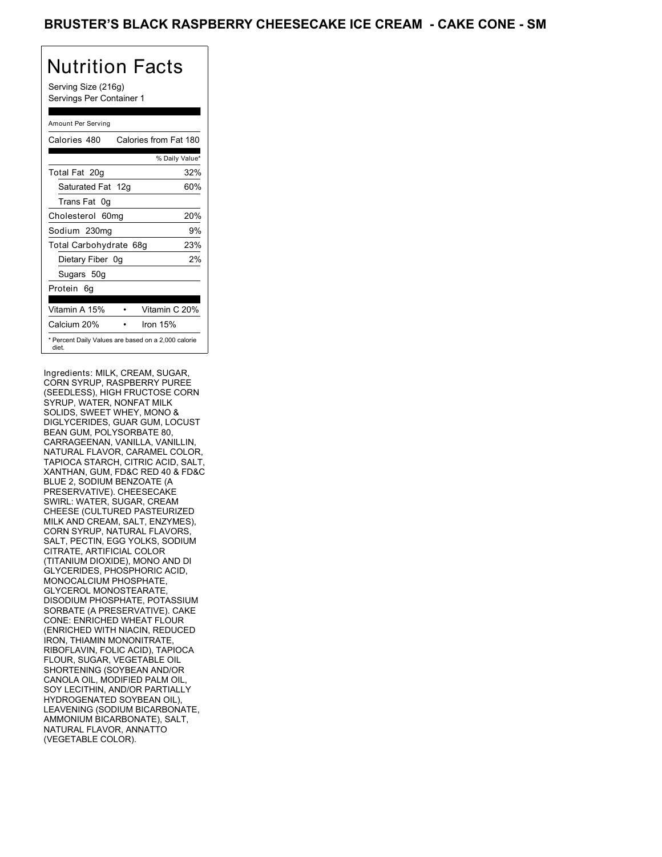Serving Size (216g) Servings Per Container 1

#### Amount Per Serving

| Calories 480                                                 | Calories from Fat 180 |                |     |
|--------------------------------------------------------------|-----------------------|----------------|-----|
|                                                              |                       | % Daily Value* |     |
| Total Fat 20g                                                |                       |                | 32% |
| Saturated Fat 12g                                            |                       |                | 60% |
| Trans Fat 0q                                                 |                       |                |     |
| Cholesterol 60mg                                             |                       |                | 20% |
| Sodium 230mg                                                 |                       |                | 9%  |
| Total Carbohydrate 68g                                       |                       |                | 23% |
| Dietary Fiber 0g                                             |                       |                | 2%  |
| Sugars 50g                                                   |                       |                |     |
| Protein 6q                                                   |                       |                |     |
| Vitamin A 15%                                                |                       | Vitamin C 20%  |     |
| Calcium 20%                                                  | Iron $15%$            |                |     |
| * Percent Daily Values are based on a 2,000 calorie<br>diet. |                       |                |     |

Ingredients: MILK, CREAM, SUGAR, CORN SYRUP, RASPBERRY PUREE (SEEDLESS), HIGH FRUCTOSE CORN SYRUP, WATER, NONFAT MILK SOLIDS, SWEET WHEY, MONO & DIGLYCERIDES, GUAR GUM, LOCUST BEAN GUM, POLYSORBATE 80, CARRAGEENAN, VANILLA, VANILLIN, NATURAL FLAVOR, CARAMEL COLOR, TAPIOCA STARCH, CITRIC ACID, SALT, XANTHAN, GUM, FD&C RED 40 & FD&C BLUE 2, SODIUM BENZOATE (A PRESERVATIVE). CHEESECAKE SWIRL: WATER, SUGAR, CREAM CHEESE (CULTURED PASTEURIZED MILK AND CREAM, SALT, ENZYMES), CORN SYRUP, NATURAL FLAVORS, SALT, PECTIN, EGG YOLKS, SODIUM CITRATE, ARTIFICIAL COLOR (TITANIUM DIOXIDE), MONO AND DI GLYCERIDES, PHOSPHORIC ACID, MONOCALCIUM PHOSPHATE, GLYCEROL MONOSTEARATE, DISODIUM PHOSPHATE, POTASSIUM SORBATE (A PRESERVATIVE). CAKE CONE: ENRICHED WHEAT FLOUR (ENRICHED WITH NIACIN, REDUCED IRON, THIAMIN MONONITRATE, RIBOFLAVIN, FOLIC ACID), TAPIOCA FLOUR, SUGAR, VEGETABLE OIL SHORTENING (SOYBEAN AND/OR CANOLA OIL, MODIFIED PALM OIL, SOY LECITHIN, AND/OR PARTIALLY HYDROGENATED SOYBEAN OIL), LEAVENING (SODIUM BICARBONATE, AMMONIUM BICARBONATE), SALT, NATURAL FLAVOR, ANNATTO (VEGETABLE COLOR).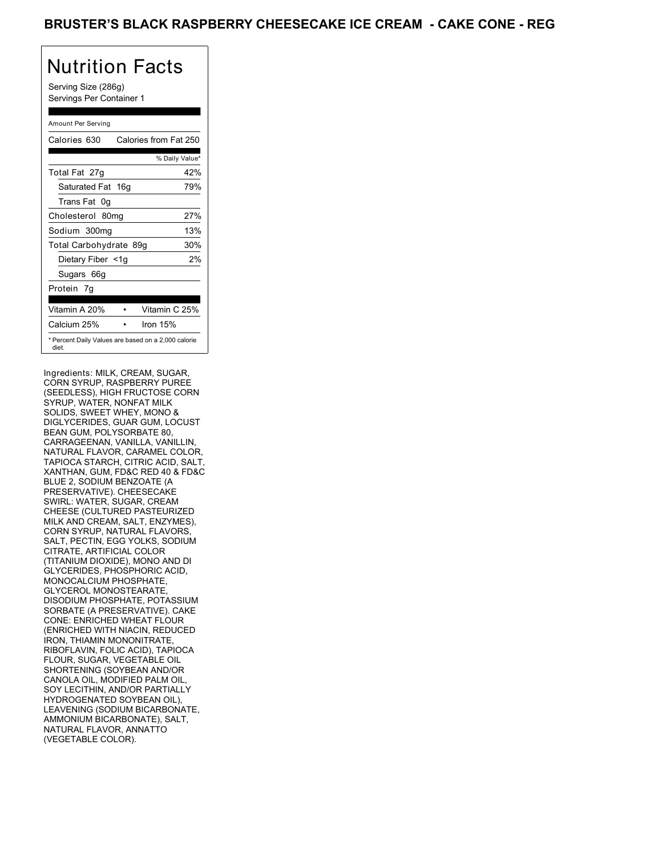Serving Size (286g) Servings Per Container 1

#### Amount Per Serving

| Calories 630                                                 | Calories from Fat 250 |     |
|--------------------------------------------------------------|-----------------------|-----|
|                                                              | % Daily Value*        |     |
| Total Fat 27g                                                |                       | 42% |
| Saturated Fat 16g                                            |                       | 79% |
| Trans Fat 0q                                                 |                       |     |
| Cholesterol 80mg                                             |                       | 27% |
| Sodium 300mg                                                 |                       | 13% |
| Total Carbohydrate 89g                                       |                       | 30% |
| Dietary Fiber <1g                                            |                       | 2%  |
| Sugars 66g                                                   |                       |     |
| Protein 7g                                                   |                       |     |
|                                                              |                       |     |
| Vitamin A 20%                                                | Vitamin C 25%         |     |
| Calcium 25%                                                  | Iron 15%              |     |
| * Percent Daily Values are based on a 2,000 calorie<br>diet. |                       |     |

Ingredients: MILK, CREAM, SUGAR, CORN SYRUP, RASPBERRY PUREE (SEEDLESS), HIGH FRUCTOSE CORN SYRUP, WATER, NONFAT MILK SOLIDS, SWEET WHEY, MONO & DIGLYCERIDES, GUAR GUM, LOCUST BEAN GUM, POLYSORBATE 80, CARRAGEENAN, VANILLA, VANILLIN, NATURAL FLAVOR, CARAMEL COLOR, TAPIOCA STARCH, CITRIC ACID, SALT, XANTHAN, GUM, FD&C RED 40 & FD&C BLUE 2, SODIUM BENZOATE (A PRESERVATIVE). CHEESECAKE SWIRL: WATER, SUGAR, CREAM CHEESE (CULTURED PASTEURIZED MILK AND CREAM, SALT, ENZYMES), CORN SYRUP, NATURAL FLAVORS, SALT, PECTIN, EGG YOLKS, SODIUM CITRATE, ARTIFICIAL COLOR (TITANIUM DIOXIDE), MONO AND DI GLYCERIDES, PHOSPHORIC ACID, MONOCALCIUM PHOSPHATE, GLYCEROL MONOSTEARATE, DISODIUM PHOSPHATE, POTASSIUM SORBATE (A PRESERVATIVE). CAKE CONE: ENRICHED WHEAT FLOUR (ENRICHED WITH NIACIN, REDUCED IRON, THIAMIN MONONITRATE, RIBOFLAVIN, FOLIC ACID), TAPIOCA FLOUR, SUGAR, VEGETABLE OIL SHORTENING (SOYBEAN AND/OR CANOLA OIL, MODIFIED PALM OIL, SOY LECITHIN, AND/OR PARTIALLY HYDROGENATED SOYBEAN OIL), LEAVENING (SODIUM BICARBONATE, AMMONIUM BICARBONATE), SALT, NATURAL FLAVOR, ANNATTO (VEGETABLE COLOR).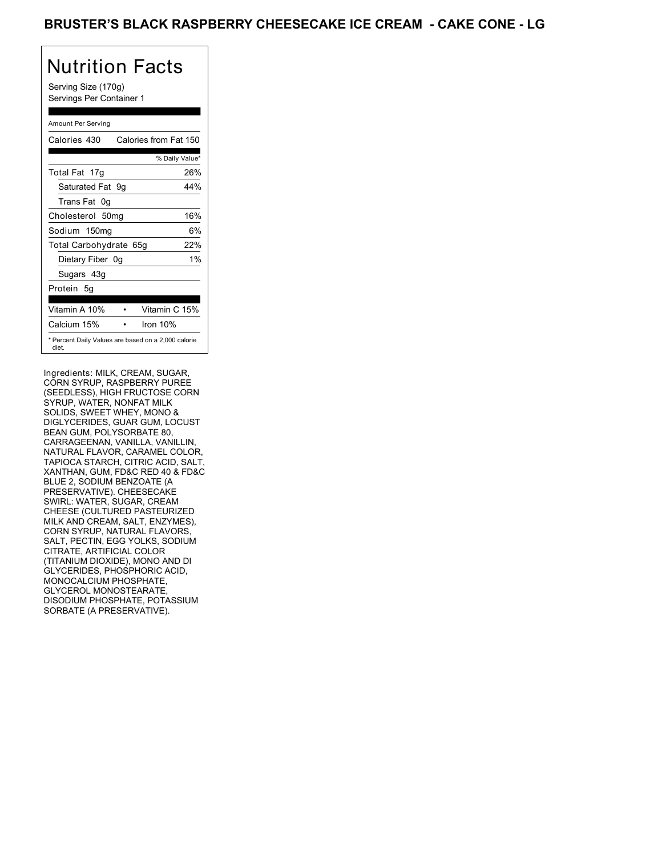Serving Size (170g) Servings Per Container 1

#### Amount Per Serving

| Calories 430           | Calories from Fat 150                               |  |
|------------------------|-----------------------------------------------------|--|
|                        | % Daily Value*                                      |  |
| Total Fat 17g          | 26%                                                 |  |
| Saturated Fat 9g       | 44%                                                 |  |
| Trans Fat 0q           |                                                     |  |
| Cholesterol 50mg       | 16%                                                 |  |
| Sodium 150mg           | 6%                                                  |  |
| Total Carbohydrate 65g | 22%                                                 |  |
| Dietary Fiber 0g       | $1\%$                                               |  |
| Sugars 43g             |                                                     |  |
| Protein 5q             |                                                     |  |
| Vitamin A 10%          | Vitamin C 15%                                       |  |
| Calcium 15%            | Iron 10%                                            |  |
| diet.                  | * Percent Daily Values are based on a 2,000 calorie |  |

Ingredients: MILK, CREAM, SUGAR, CORN SYRUP, RASPBERRY PUREE (SEEDLESS), HIGH FRUCTOSE CORN SYRUP, WATER, NONFAT MILK SOLIDS, SWEET WHEY, MONO & DIGLYCERIDES, GUAR GUM, LOCUST BEAN GUM, POLYSORBATE 80, CARRAGEENAN, VANILLA, VANILLIN, NATURAL FLAVOR, CARAMEL COLOR, TAPIOCA STARCH, CITRIC ACID, SALT, XANTHAN, GUM, FD&C RED 40 & FD&C BLUE 2, SODIUM BENZOATE (A PRESERVATIVE). CHEESECAKE SWIRL: WATER, SUGAR, CREAM CHEESE (CULTURED PASTEURIZED MILK AND CREAM, SALT, ENZYMES), CORN SYRUP, NATURAL FLAVORS, SALT, PECTIN, EGG YOLKS, SODIUM CITRATE, ARTIFICIAL COLOR (TITANIUM DIOXIDE), MONO AND DI GLYCERIDES, PHOSPHORIC ACID, MONOCALCIUM PHOSPHATE, GLYCEROL MONOSTEARATE, DISODIUM PHOSPHATE, POTASSIUM SORBATE (A PRESERVATIVE).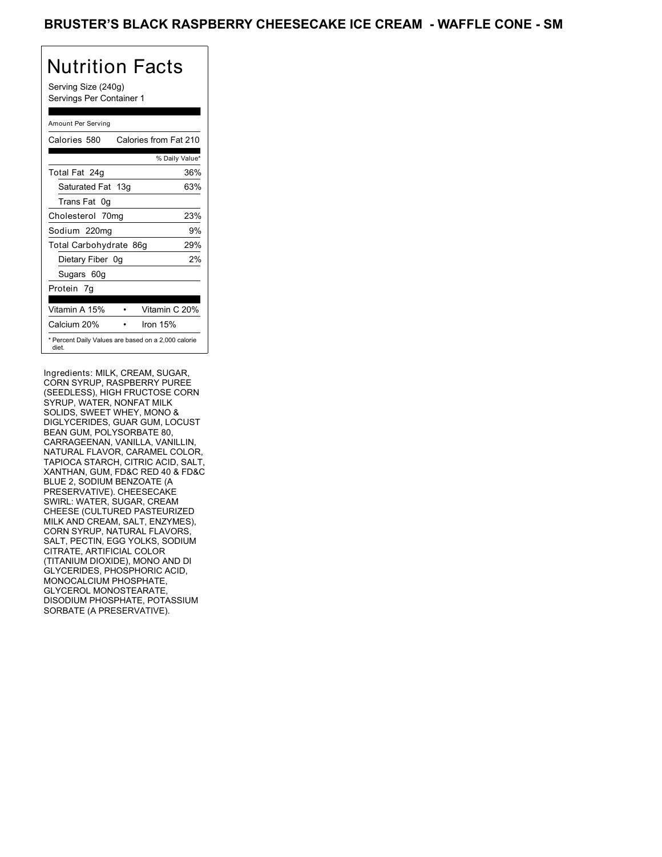Serving Size (240g) Servings Per Container 1

#### Amount Per Serving

| Calories 580           | Calories from Fat 210                               |
|------------------------|-----------------------------------------------------|
|                        | % Daily Value*                                      |
| Total Fat 24g          | 36%                                                 |
| Saturated Fat 13g      | 63%                                                 |
| Trans Fat 0g           |                                                     |
| Cholesterol 70mg       | 23%                                                 |
| Sodium 220mg           | 9%                                                  |
| Total Carbohydrate 86g | 29%                                                 |
| Dietary Fiber 0g       | 2%                                                  |
| Sugars 60g             |                                                     |
| Protein 7q             |                                                     |
| Vitamin A 15%          | Vitamin C 20%                                       |
| Calcium 20%            | Iron 15%                                            |
| diet.                  | * Percent Daily Values are based on a 2,000 calorie |

Ingredients: MILK, CREAM, SUGAR, CORN SYRUP, RASPBERRY PUREE (SEEDLESS), HIGH FRUCTOSE CORN SYRUP, WATER, NONFAT MILK SOLIDS, SWEET WHEY, MONO & DIGLYCERIDES, GUAR GUM, LOCUST BEAN GUM, POLYSORBATE 80, CARRAGEENAN, VANILLA, VANILLIN, NATURAL FLAVOR, CARAMEL COLOR, TAPIOCA STARCH, CITRIC ACID, SALT, XANTHAN, GUM, FD&C RED 40 & FD&C BLUE 2, SODIUM BENZOATE (A PRESERVATIVE). CHEESECAKE SWIRL: WATER, SUGAR, CREAM CHEESE (CULTURED PASTEURIZED MILK AND CREAM, SALT, ENZYMES), CORN SYRUP, NATURAL FLAVORS, SALT, PECTIN, EGG YOLKS, SODIUM CITRATE, ARTIFICIAL COLOR (TITANIUM DIOXIDE), MONO AND DI GLYCERIDES, PHOSPHORIC ACID, MONOCALCIUM PHOSPHATE, GLYCEROL MONOSTEARATE, DISODIUM PHOSPHATE, POTASSIUM SORBATE (A PRESERVATIVE).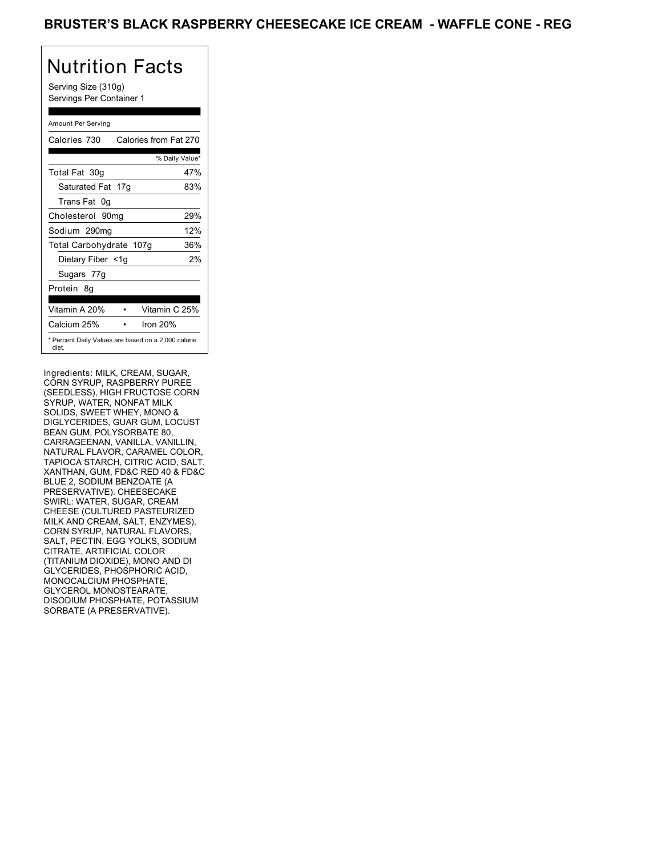Serving Size (310g) Servings Per Container 1

#### Amount Per Serving

| Calories 730                                                 | Calories from Fat 270 |     |
|--------------------------------------------------------------|-----------------------|-----|
|                                                              | % Daily Value*        |     |
| Total Fat 30g                                                |                       | 47% |
| Saturated Fat 17g                                            |                       | 83% |
| Trans Fat 0q                                                 |                       |     |
| Cholesterol 90mg                                             |                       | 29% |
| Sodium 290mg                                                 |                       | 12% |
| Total Carbohydrate 107g                                      |                       | 36% |
| Dietary Fiber <1g                                            |                       | 2%  |
| Sugars 77g                                                   |                       |     |
| Protein 8q                                                   |                       |     |
| Vitamin A 20%                                                | Vitamin C 25%         |     |
| Calcium 25%                                                  | Iron 20%              |     |
| * Percent Daily Values are based on a 2,000 calorie<br>diet. |                       |     |

Ingredients: MILK, CREAM, SUGAR, CORN SYRUP, RASPBERRY PUREE (SEEDLESS), HIGH FRUCTOSE CORN SYRUP, WATER, NONFAT MILK SOLIDS, SWEET WHEY, MONO & DIGLYCERIDES, GUAR GUM, LOCUST BEAN GUM, POLYSORBATE 80, CARRAGEENAN, VANILLA, VANILLIN, NATURAL FLAVOR, CARAMEL COLOR, TAPIOCA STARCH, CITRIC ACID, SALT, XANTHAN, GUM, FD&C RED 40 & FD&C BLUE 2, SODIUM BENZOATE (A PRESERVATIVE). CHEESECAKE SWIRL: WATER, SUGAR, CREAM CHEESE (CULTURED PASTEURIZED MILK AND CREAM, SALT, ENZYMES), CORN SYRUP, NATURAL FLAVORS, SALT, PECTIN, EGG YOLKS, SODIUM CITRATE, ARTIFICIAL COLOR (TITANIUM DIOXIDE), MONO AND DI GLYCERIDES, PHOSPHORIC ACID, MONOCALCIUM PHOSPHATE, GLYCEROL MONOSTEARATE, DISODIUM PHOSPHATE, POTASSIUM SORBATE (A PRESERVATIVE).